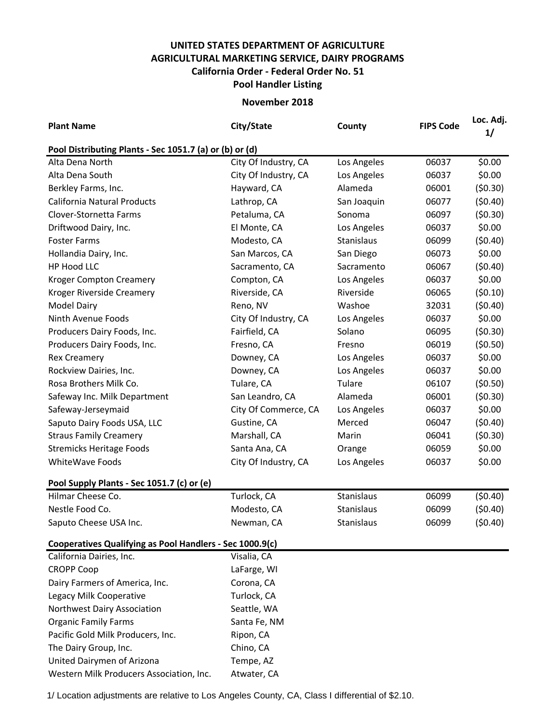## **UNITED STATES DEPARTMENT OF AGRICULTURE AGRICULTURAL MARKETING SERVICE, DAIRY PROGRAMS Pool Handler Listing California Order - Federal Order No. 51**

**November 2018**

| <b>Plant Name</b>                                        | City/State           | County      | <b>FIPS Code</b> | Loc. Adj.<br>1/ |  |  |  |  |  |
|----------------------------------------------------------|----------------------|-------------|------------------|-----------------|--|--|--|--|--|
| Pool Distributing Plants - Sec 1051.7 (a) or (b) or (d)  |                      |             |                  |                 |  |  |  |  |  |
| Alta Dena North                                          | City Of Industry, CA | Los Angeles | 06037            | \$0.00          |  |  |  |  |  |
| Alta Dena South                                          | City Of Industry, CA | Los Angeles | 06037            | \$0.00          |  |  |  |  |  |
| Berkley Farms, Inc.                                      | Hayward, CA          | Alameda     | 06001            | (50.30)         |  |  |  |  |  |
| California Natural Products                              | Lathrop, CA          | San Joaquin | 06077            | (50.40)         |  |  |  |  |  |
| Clover-Stornetta Farms                                   | Petaluma, CA         | Sonoma      | 06097            | (50.30)         |  |  |  |  |  |
| Driftwood Dairy, Inc.                                    | El Monte, CA         | Los Angeles | 06037            | \$0.00          |  |  |  |  |  |
| <b>Foster Farms</b>                                      | Modesto, CA          | Stanislaus  | 06099            | (50.40)         |  |  |  |  |  |
| Hollandia Dairy, Inc.                                    | San Marcos, CA       | San Diego   | 06073            | \$0.00          |  |  |  |  |  |
| HP Hood LLC                                              | Sacramento, CA       | Sacramento  | 06067            | (50.40)         |  |  |  |  |  |
| <b>Kroger Compton Creamery</b>                           | Compton, CA          | Los Angeles | 06037            | \$0.00          |  |  |  |  |  |
| Kroger Riverside Creamery                                | Riverside, CA        | Riverside   | 06065            | (50.10)         |  |  |  |  |  |
| Model Dairy                                              | Reno, NV             | Washoe      | 32031            | (50.40)         |  |  |  |  |  |
| Ninth Avenue Foods                                       | City Of Industry, CA | Los Angeles | 06037            | \$0.00          |  |  |  |  |  |
| Producers Dairy Foods, Inc.                              | Fairfield, CA        | Solano      | 06095            | (50.30)         |  |  |  |  |  |
| Producers Dairy Foods, Inc.                              | Fresno, CA           | Fresno      | 06019            | (50.50)         |  |  |  |  |  |
| <b>Rex Creamery</b>                                      | Downey, CA           | Los Angeles | 06037            | \$0.00          |  |  |  |  |  |
| Rockview Dairies, Inc.                                   | Downey, CA           | Los Angeles | 06037            | \$0.00          |  |  |  |  |  |
| Rosa Brothers Milk Co.                                   | Tulare, CA           | Tulare      | 06107            | (50.50)         |  |  |  |  |  |
| Safeway Inc. Milk Department                             | San Leandro, CA      | Alameda     | 06001            | (50.30)         |  |  |  |  |  |
| Safeway-Jerseymaid                                       | City Of Commerce, CA | Los Angeles | 06037            | \$0.00          |  |  |  |  |  |
| Saputo Dairy Foods USA, LLC                              | Gustine, CA          | Merced      | 06047            | (50.40)         |  |  |  |  |  |
| <b>Straus Family Creamery</b>                            | Marshall, CA         | Marin       | 06041            | (50.30)         |  |  |  |  |  |
| <b>Stremicks Heritage Foods</b>                          | Santa Ana, CA        | Orange      | 06059            | \$0.00          |  |  |  |  |  |
| <b>WhiteWave Foods</b>                                   | City Of Industry, CA | Los Angeles | 06037            | \$0.00          |  |  |  |  |  |
| Pool Supply Plants - Sec 1051.7 (c) or (e)               |                      |             |                  |                 |  |  |  |  |  |
| Hilmar Cheese Co.                                        | Turlock, CA          | Stanislaus  | 06099            | (50.40)         |  |  |  |  |  |
| Nestle Food Co.                                          | Modesto, CA          | Stanislaus  | 06099            | (50.40)         |  |  |  |  |  |
| Saputo Cheese USA Inc.                                   | Newman, CA           | Stanislaus  | 06099            | (50.40)         |  |  |  |  |  |
| Cooperatives Qualifying as Pool Handlers - Sec 1000.9(c) |                      |             |                  |                 |  |  |  |  |  |
| California Dairies, Inc.                                 | Visalia, CA          |             |                  |                 |  |  |  |  |  |
| <b>CROPP Coop</b>                                        | LaFarge, WI          |             |                  |                 |  |  |  |  |  |
| Dairy Farmers of America, Inc.                           | Corona, CA           |             |                  |                 |  |  |  |  |  |
| Legacy Milk Cooperative                                  | Turlock, CA          |             |                  |                 |  |  |  |  |  |
| Northwest Dairy Association                              | Seattle, WA          |             |                  |                 |  |  |  |  |  |
| <b>Organic Family Farms</b>                              | Santa Fe, NM         |             |                  |                 |  |  |  |  |  |
| Pacific Gold Milk Producers, Inc.                        | Ripon, CA            |             |                  |                 |  |  |  |  |  |
| The Dairy Group, Inc.                                    | Chino, CA            |             |                  |                 |  |  |  |  |  |
| United Dairymen of Arizona                               | Tempe, AZ            |             |                  |                 |  |  |  |  |  |
| Western Milk Producers Association, Inc.                 | Atwater, CA          |             |                  |                 |  |  |  |  |  |

1/ Location adjustments are relative to Los Angeles County, CA, Class I differential of \$2.10.